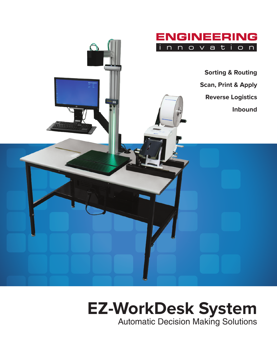

# **EZ-WorkDesk System**

Automatic Decision Making Solutions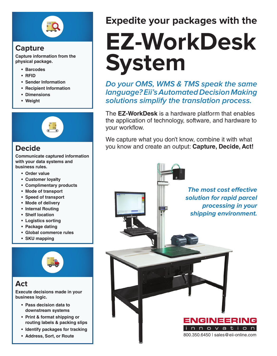

# **Capture**

**Capture information from the physical package.** 

- **• Barcodes**
- **• RFID**
- **• Sender Information**
- **• Recipient Information**
- **• Dimensions**
- **• Weight**



**Communicate captured information with your data systems and business rules.**

- **• Order value**
- **• Customer loyalty**
- **• Complimentary products**
- **• Mode of transport**
- **• Speed of transport**
- **• Mode of delivery**
- **• Internal Routing**
- **• Shelf location**
- **• Logistics sorting**
- **• Package dating**
- **• Global commerce rules**
- **• SKU mapping**



# **Act**

**Execute decisions made in your business logic.** 

- **• Pass decision data to downstream systems**
- **• Print & format shipping or routing labels & packing slips**
- **• Identify packages for tracking**
- **• Address, Sort, or Route**

# **Expedite your packages with the**

# **EZ-WorkDesk System**

**Do your OMS, WMS & TMS speak the same language? Eii's Automated Decision Making solutions simplify the translation process.** 

The **EZ-WorkDesk** is a hardware platform that enables the application of technology, software, and hardware to your workflow.

We capture what you don't know, combine it with what **Decide** an output: **Capture, Decide, Act!** 

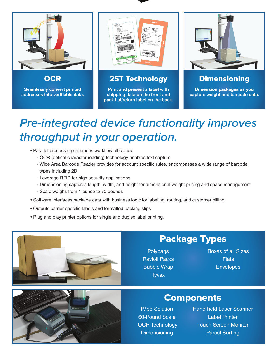

**OCR** 

**Seamlessly convert printed addresses into verifiable data.**



2ST Technology

**Print and present a label with shipping data on the front and pack list/return label on the back.**



**Dimensioning** 

**Dimension packages as you capture weight and barcode data.**

# **Pre-integrated device functionality improves throughput in your operation.**

- Parallel processing enhances workflow efficiency
	- OCR (optical character reading) technology enables text capture
	- Wide Area Barcode Reader provides for account specific rules, encompasses a wide range of barcode types including 2D
	- Leverage RFID for high security applications
	- Dimensioning captures length, width, and height for dimensional weight pricing and space management
	- Scale weighs from 1 ounce to 70 pounds
- Software interfaces package data with business logic for labeling, routing, and customer billing
- Outputs carrier specific labels and formatted packing slips
- Plug and play printer options for single and duplex label printing.



# Package Types

**Polybags** Ravioli Packs Bubble Wrap **Tyvex** 

Boxes of all Sizes **Flats** Envelopes

# **Components**

IMpb Solution 60-Pound Scale OCR Technology **Dimensioning** 

Hand-held Laser Scanner Label Printer Touch Screen Monitor Parcel Sorting